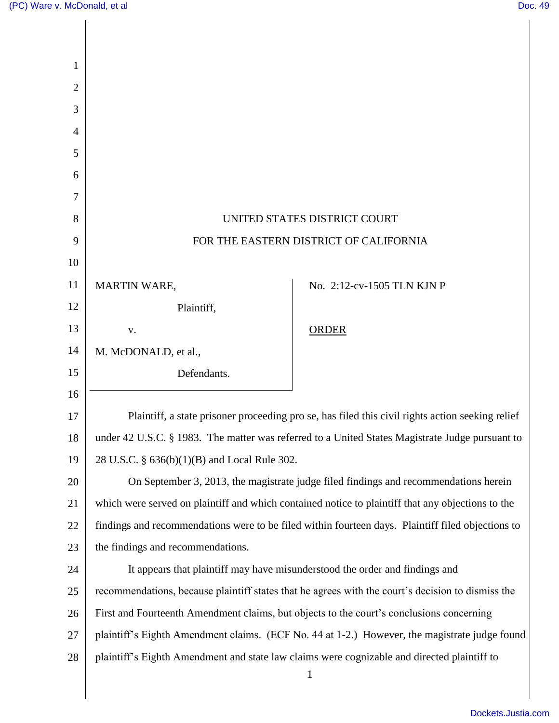|                                                                                                  | UNITED STATES DISTRICT COURT                                                                                |
|--------------------------------------------------------------------------------------------------|-------------------------------------------------------------------------------------------------------------|
|                                                                                                  | FOR THE EASTERN DISTRICT OF CALIFORNIA                                                                      |
|                                                                                                  |                                                                                                             |
| <b>MARTIN WARE,</b>                                                                              | No. 2:12-cv-1505 TLN KJN P                                                                                  |
| Plaintiff,                                                                                       |                                                                                                             |
| V.                                                                                               | <b>ORDER</b>                                                                                                |
| M. McDONALD, et al.,                                                                             |                                                                                                             |
| Defendants.                                                                                      |                                                                                                             |
|                                                                                                  |                                                                                                             |
| Plaintiff, a state prisoner proceeding pro se, has filed this civil rights action seeking relief |                                                                                                             |
| under 42 U.S.C. § 1983. The matter was referred to a United States Magistrate Judge pursuant to  |                                                                                                             |
| 28 U.S.C. § 636(b)(1)(B) and Local Rule 302.                                                     |                                                                                                             |
|                                                                                                  | On September 3, 2013, the magistrate judge filed findings and recommendations herein                        |
|                                                                                                  | which were served on plaintiff and which contained notice to plaintiff that any objections to the           |
|                                                                                                  | findings and recommendations were to be filed within fourteen days. Plaintiff filed objections to           |
| the findings and recommendations.                                                                |                                                                                                             |
|                                                                                                  | It appears that plaintiff may have misunderstood the order and findings and                                 |
|                                                                                                  | recommendations, because plaintiff states that he agrees with the court's decision to dismiss the           |
| First and Fourteenth Amendment claims, but objects to the court's conclusions concerning         |                                                                                                             |
|                                                                                                  | plaintiff's Eighth Amendment claims. (ECF No. 44 at 1-2.) However, the magistrate judge found               |
|                                                                                                  |                                                                                                             |
|                                                                                                  | plaintiff's Eighth Amendment and state law claims were cognizable and directed plaintiff to<br>$\mathbf{1}$ |
|                                                                                                  |                                                                                                             |